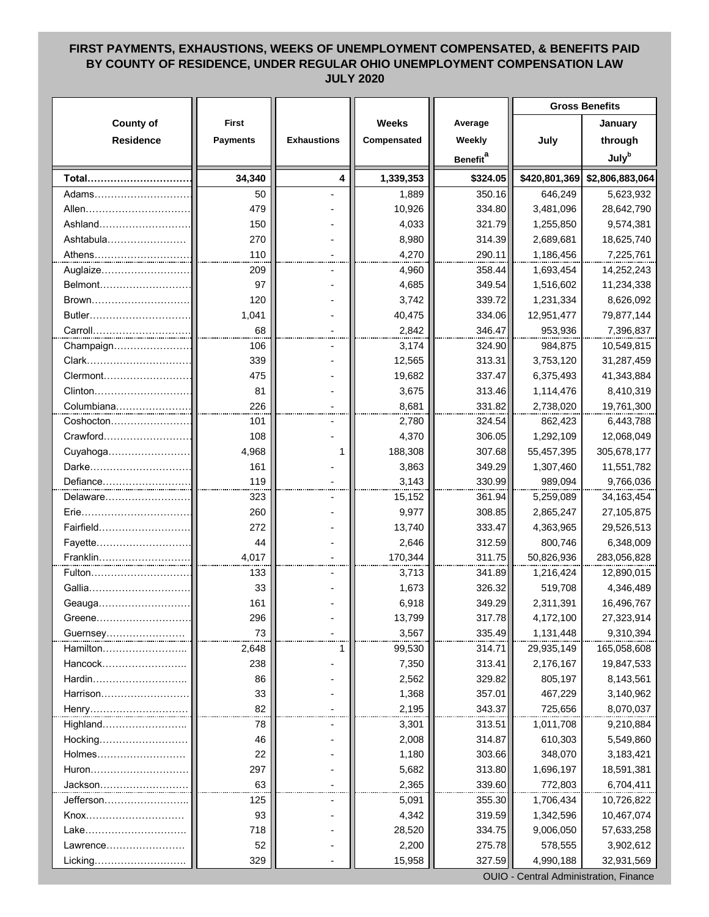## **FIRST PAYMENTS, EXHAUSTIONS, WEEKS OF UNEMPLOYMENT COMPENSATED, & BENEFITS PAID BY COUNTY OF RESIDENCE, UNDER REGULAR OHIO UNEMPLOYMENT COMPENSATION LAW JULY 2020**

|                    |                                        |                    |                 |                             | <b>Gross Benefits</b> |                               |  |  |
|--------------------|----------------------------------------|--------------------|-----------------|-----------------------------|-----------------------|-------------------------------|--|--|
| <b>County of</b>   | <b>First</b>                           |                    | <b>Weeks</b>    | Average                     |                       | January                       |  |  |
| <b>Residence</b>   | <b>Payments</b>                        | <b>Exhaustions</b> | Compensated     | Weekly                      | July                  | through                       |  |  |
|                    |                                        |                    |                 | <b>Benefit</b> <sup>a</sup> |                       | <b>July</b> <sup>b</sup>      |  |  |
| Total              | 34,340                                 | 4                  | 1,339,353       | \$324.05                    |                       | \$420,801,369 \$2,806,883,064 |  |  |
| Adams…………………………    | 50                                     |                    | 1,889           | 350.16                      | 646,249               | 5,623,932                     |  |  |
| Allen              | 479                                    |                    | 10,926          | 334.80                      | 3,481,096             | 28,642,790                    |  |  |
| Ashland            | 150                                    |                    | 4,033           | 321.79                      | 1,255,850             | 9,574,381                     |  |  |
| Ashtabula          | 270                                    |                    | 8,980           | 314.39                      | 2,689,681             | 18,625,740                    |  |  |
|                    | 110                                    |                    | 4,270           | 290.11                      | 1,186,456             | 7,225,761                     |  |  |
| Athens<br>Auglaize | 209                                    |                    | 4,960           | 358.44                      | 1,693,454             | 14,252,243                    |  |  |
| Belmont            | 97                                     |                    | 4,685           | 349.54                      | 1,516,602             | 11,234,338                    |  |  |
| Brown              | 120                                    |                    | 3,742           | 339.72                      | 1,231,334             | 8,626,092                     |  |  |
| Butler             | 1,041                                  |                    |                 | 334.06                      |                       |                               |  |  |
|                    | 68                                     |                    | 40,475<br>2,842 | 346.47                      | 12,951,477            | 79,877,144                    |  |  |
| Carroll            | 106                                    |                    | 3,174           | 324.90                      | 953,936<br>984,875    | 7,396,837                     |  |  |
| Champaign          |                                        |                    |                 |                             |                       | 10,549,815                    |  |  |
| Clark<br>Clermont  | 339                                    |                    | 12,565          | 313.31                      | 3,753,120             | 31,287,459                    |  |  |
|                    | 475                                    |                    | 19,682          | 337.47                      | 6,375,493             | 41,343,884                    |  |  |
| Clinton            | 81<br>226                              |                    | 3,675           | 313.46                      | 1,114,476             | 8,410,319                     |  |  |
|                    |                                        |                    | 8,681           | 331.82                      | 2,738,020             | 19,761,300                    |  |  |
| Coshocton          | 101                                    |                    | 2,780           | 324.54                      | 862,423               | 6,443,788                     |  |  |
| Crawford           | 108                                    |                    | 4,370           | 306.05                      | 1,292,109             | 12,068,049                    |  |  |
| Cuyahoga           | 4,968                                  | 1                  | 188,308         | 307.68                      | 55,457,395            | 305,678,177                   |  |  |
| Darke              | 161                                    |                    | 3,863           | 349.29                      | 1,307,460             | 11,551,782                    |  |  |
| Defiance           | 119                                    |                    | 3,143           | 330.99                      | 989,094               | 9,766,036                     |  |  |
| Delaware           | 323                                    |                    | 15,152          | 361.94                      | 5,259,089             | 34, 163, 454                  |  |  |
| Erie               | 260                                    |                    | 9,977           | 308.85                      | 2,865,247             | 27,105,875                    |  |  |
| Fairfield          | 272                                    |                    | 13,740          | 333.47                      | 4,363,965             | 29,526,513                    |  |  |
| Fayette            | 44                                     |                    | 2,646           | 312.59                      | 800,746               | 6,348,009                     |  |  |
| Franklin           | 4,017                                  |                    | 170,344         | 311.75                      | 50,826,936            | 283,056,828                   |  |  |
| Fulton             | 133                                    |                    | 3,713           | 341.89                      | 1,216,424             | 12,890,015                    |  |  |
| Gallia             | 33                                     |                    | 1,673           | 326.32                      | 519,708               | 4,346,489                     |  |  |
| Geauga             | 161                                    |                    | 6,918           | 349.29                      | 2,311,391             | 16,496,767                    |  |  |
| Greene             | 296                                    |                    | 13,799          | 317.78                      | 4,172,100             | 27,323,914                    |  |  |
| Guernsey           | 73                                     |                    | 3,567           | 335.49                      | 1,131,448             | 9,310,394                     |  |  |
| Hamilton           | 2,648                                  | 1                  | 99,530          | 314.71                      | 29,935,149            | 165,058,608                   |  |  |
| Hancock            | 238                                    |                    | 7,350           | 313.41                      | 2,176,167             | 19,847,533                    |  |  |
| Hardin             | 86                                     |                    | 2,562           | 329.82                      | 805,197               | 8,143,561                     |  |  |
| Harrison           | 33                                     |                    | 1,368           | 357.01                      | 467,229               | 3,140,962                     |  |  |
| Henry              | 82                                     |                    | 2,195           | 343.37                      | 725,656               | 8,070,037                     |  |  |
| Highland           | 78                                     |                    | 3,301           | 313.51                      | 1,011,708             | 9,210,884                     |  |  |
| Hocking            | 46                                     |                    | 2,008           | 314.87                      | 610,303               | 5,549,860                     |  |  |
| Holmes             | 22                                     |                    | 1,180           | 303.66                      | 348,070               | 3,183,421                     |  |  |
| Huron              | 297                                    |                    | 5,682           | 313.80                      | 1,696,197             | 18,591,381                    |  |  |
| Jackson.           | 63                                     |                    | 2,365           | 339.60                      | 772,803               | 6,704,411                     |  |  |
| Jefferson……………     | 125                                    |                    | 5,091           | 355.30                      | 1,706,434             | 10,726,822                    |  |  |
| Knox               | 93                                     |                    | 4,342           | 319.59                      | 1,342,596             | 10,467,074                    |  |  |
| Lake               | 718                                    |                    | 28,520          | 334.75                      | 9,006,050             | 57,633,258                    |  |  |
| Lawrence           | 52                                     |                    | 2,200           | 275.78                      | 578,555               | 3,902,612                     |  |  |
| Licking            | 329                                    |                    | 15,958          | 327.59                      | 4,990,188             | 32,931,569                    |  |  |
|                    | OUIO - Central Administration, Finance |                    |                 |                             |                       |                               |  |  |